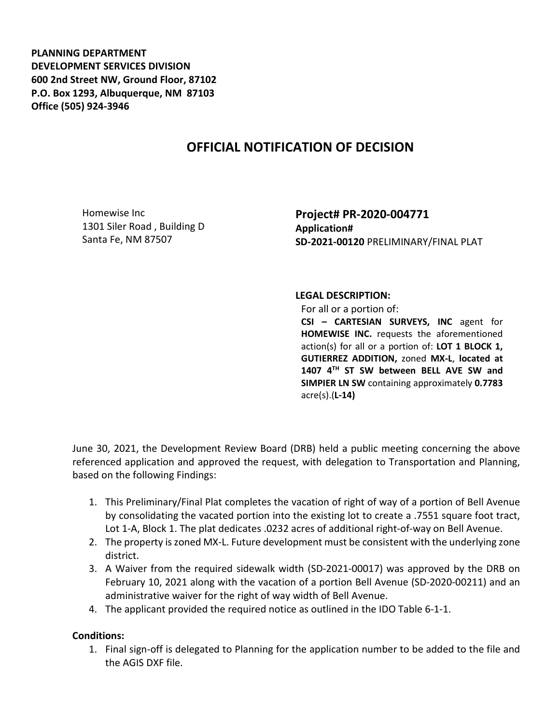**PLANNING DEPARTMENT DEVELOPMENT SERVICES DIVISION 600 2nd Street NW, Ground Floor, 87102 P.O. Box 1293, Albuquerque, NM 87103 Office (505) 924-3946** 

## **OFFICIAL NOTIFICATION OF DECISION**

Homewise Inc 1301 Siler Road , Building D Santa Fe, NM 87507

**Project# PR-2020-004771 Application# SD-2021-00120** PRELIMINARY/FINAL PLAT

## **LEGAL DESCRIPTION:**

For all or a portion of: **CSI – CARTESIAN SURVEYS, INC** agent for **HOMEWISE INC.** requests the aforementioned action(s) for all or a portion of: **LOT 1 BLOCK 1, GUTIERREZ ADDITION,** zoned **MX-L**, **located at 1407 4TH ST SW between BELL AVE SW and SIMPIER LN SW** containing approximately **0.7783** acre(s).(**L-14)**

June 30, 2021, the Development Review Board (DRB) held a public meeting concerning the above referenced application and approved the request, with delegation to Transportation and Planning, based on the following Findings:

- 1. This Preliminary/Final Plat completes the vacation of right of way of a portion of Bell Avenue by consolidating the vacated portion into the existing lot to create a .7551 square foot tract, Lot 1-A, Block 1. The plat dedicates .0232 acres of additional right-of-way on Bell Avenue.
- 2. The property is zoned MX-L. Future development must be consistent with the underlying zone district.
- 3. A Waiver from the required sidewalk width (SD-2021-00017) was approved by the DRB on February 10, 2021 along with the vacation of a portion Bell Avenue (SD-2020-00211) and an administrative waiver for the right of way width of Bell Avenue.
- 4. The applicant provided the required notice as outlined in the IDO Table 6-1-1.

## **Conditions:**

1. Final sign-off is delegated to Planning for the application number to be added to the file and the AGIS DXF file.